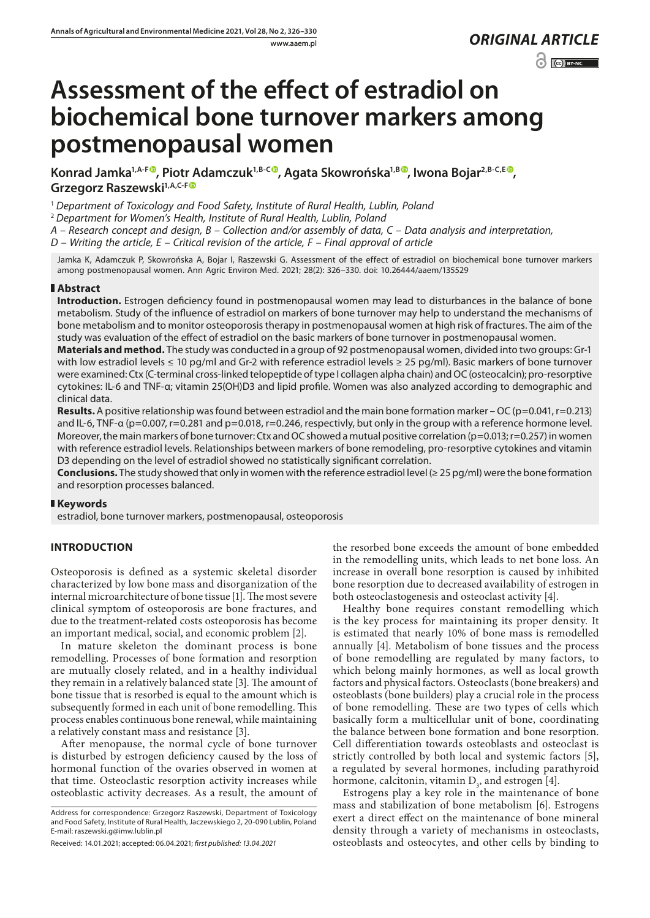# $\odot$   $\odot$  BY-NC

# **Assessment of the effect of estradiol on biochemical bone turnover markers among postmenopausal women**

Konrad Jamka<sup>1[,](https://orcid.org/0000-0001-5612-3382)A-F®</sup>, Piotr Adamczuk<sup>1,B-C®</sup>, Agata Skowrońska<sup>1,B®</sup>, Iwona Bojar<sup>2,B-C,[E](https://orcid.org/0000-0002-3171-225X)®</sup>, **Grzegorz Raszewski1,A,C-F**

<sup>1</sup> *Department of Toxicology and Food Safety, Institute of Rural Health, Lublin, Poland*

<sup>2</sup> *Department for Women's Health, Institute of Rural Health, Lublin, Poland*

*A – Research concept and design, B – Collection and/or assembly of data, C – Data analysis and interpretation,* 

*D – Writing the article, E – Critical revision of the article, F – Final approval of article*

Jamka K, Adamczuk P, Skowrońska A, Bojar I, Raszewski G. Assessment of the effect of estradiol on biochemical bone turnover markers among postmenopausal women. Ann Agric Environ Med. 2021; 28(2): 326–330. doi: 10.26444/aaem/135529

#### **Abstract**

**Introduction.** Estrogen deficiency found in postmenopausal women may lead to disturbances in the balance of bone metabolism. Study of the influence of estradiol on markers of bone turnover may help to understand the mechanisms of bone metabolism and to monitor osteoporosis therapy in postmenopausal women at high risk of fractures. The aim of the study was evaluation of the effect of estradiol on the basic markers of bone turnover in postmenopausal women.

**Materials and method.** The study was conducted in a group of 92 postmenopausal women, divided into two groups: Gr-1 with low estradiol levels ≤ 10 pg/ml and Gr-2 with reference estradiol levels ≥ 25 pg/ml). Basic markers of bone turnover were examined: Ctx (C-terminal cross-linked telopeptide of type I collagen alpha chain) and OC (osteocalcin); pro-resorptive cytokines: IL-6 and TNF-α; vitamin 25(OH)D3 and lipid profile. Women was also analyzed according to demographic and clinical data.

**Results.** A positive relationship was found between estradiol and the main bone formation marker – OC (p=0.041, r=0.213) and IL-6, TNF-α (p=0.007, r=0.281 and p=0.018, r=0.246, respectivly, but only in the group with a reference hormone level. Moreover, the main markers of bone turnover: Ctx and OC showed a mutual positive correlation ( $p=0.013$ ;  $r=0.257$ ) in women with reference estradiol levels. Relationships between markers of bone remodeling, pro-resorptive cytokines and vitamin D3 depending on the level of estradiol showed no statistically significant correlation.

**Conclusions.** The study showed that only in women with the reference estradiol level ( $\geq$  25 pg/ml) were the bone formation and resorption processes balanced.

### **Keywords**

estradiol, bone turnover markers, postmenopausal, osteoporosis

## **INTRODUCTION**

Osteoporosis is defined as a systemic skeletal disorder characterized by low bone mass and disorganization of the internal microarchitecture of bone tissue [1]. The most severe clinical symptom of osteoporosis are bone fractures, and due to the treatment-related costs osteoporosis has become an important medical, social, and economic problem [2].

In mature skeleton the dominant process is bone remodelling. Processes of bone formation and resorption are mutually closely related, and in a healthy individual they remain in a relatively balanced state [3]. The amount of bone tissue that is resorbed is equal to the amount which is subsequently formed in each unit of bone remodelling. This process enables continuous bone renewal, while maintaining a relatively constant mass and resistance [3].

After menopause, the normal cycle of bone turnover is disturbed by estrogen deficiency caused by the loss of hormonal function of the ovaries observed in women at that time. Osteoclastic resorption activity increases while osteoblastic activity decreases. As a result, the amount of

Address for correspondence: Grzegorz Raszewski, Department of Toxicology and Food Safety, Institute of Rural Health, Jaczewskiego 2, 20-090 Lublin, Poland E-mail: raszewski.g@imw.lublin.pl

the resorbed bone exceeds the amount of bone embedded in the remodelling units, which leads to net bone loss. An increase in overall bone resorption is caused by inhibited bone resorption due to decreased availability of estrogen in both osteoclastogenesis and osteoclast activity [4].

Healthy bone requires constant remodelling which is the key process for maintaining its proper density. It is estimated that nearly 10% of bone mass is remodelled annually [4]. Metabolism of bone tissues and the process of bone remodelling are regulated by many factors, to which belong mainly hormones, as well as local growth factors and physical factors. Osteoclasts (bone breakers) and osteoblasts (bone builders) play a crucial role in the process of bone remodelling. These are two types of cells which basically form a multicellular unit of bone, coordinating the balance between bone formation and bone resorption. Cell differentiation towards osteoblasts and osteoclast is strictly controlled by both local and systemic factors [5], a regulated by several hormones, including parathyroid hormone, calcitonin, vitamin  $D_3$ , and estrogen [4].

Estrogens play a key role in the maintenance of bone mass and stabilization of bone metabolism [6]. Estrogens exert a direct effect on the maintenance of bone mineral density through a variety of mechanisms in osteoclasts, osteoblasts and osteocytes, and other cells by binding to

Received: 14.01.2021; accepted: 06.04.2021; *first published: 13.04.2021*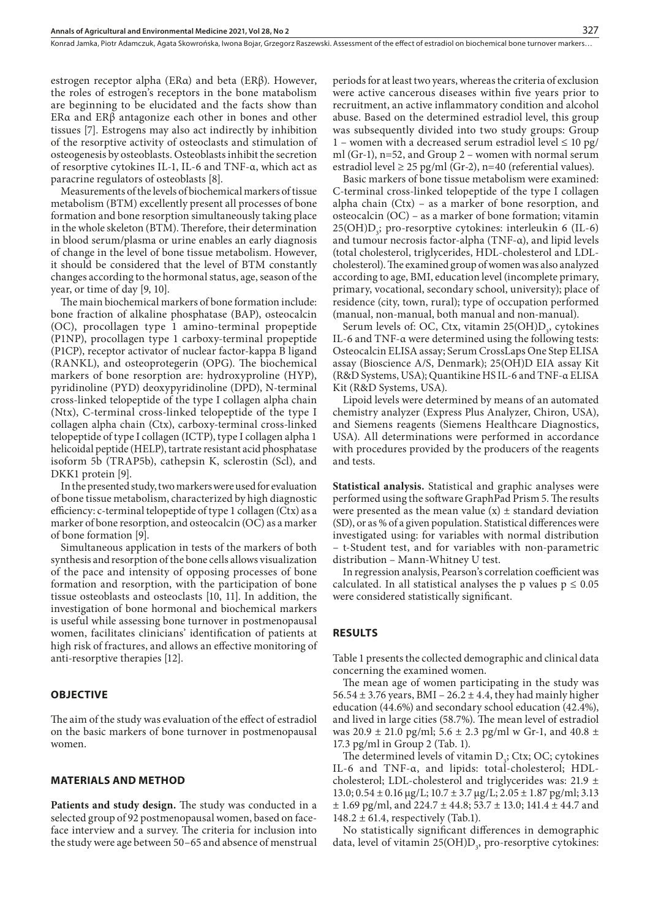Konrad Jamka, Piotr Adamczuk, Agata Skowrońska, Iwona Bojar, Grzegorz Raszewski . Assessment of the effect of estradiol on biochemical bone turnover markers…

estrogen receptor alpha (ERα) and beta (ERβ). However, the roles of estrogen's receptors in the bone matabolism are beginning to be elucidated and the facts show than ERα and ERβ antagonize each other in bones and other tissues [7]. Estrogens may also act indirectly by inhibition of the resorptive activity of osteoclasts and stimulation of osteogenesis by osteoblasts. Osteoblasts inhibit the secretion of resorptive cytokines IL-1, IL-6 and TNF-α, which act as paracrine regulators of osteoblasts [8].

Measurements of the levels of biochemical markers of tissue metabolism (BTM) excellently present all processes of bone formation and bone resorption simultaneously taking place in the whole skeleton (BTM). Therefore, their determination in blood serum/plasma or urine enables an early diagnosis of change in the level of bone tissue metabolism. However, it should be considered that the level of BTM constantly changes according to the hormonal status, age, season of the year, or time of day [9, 10].

The main biochemical markers of bone formation include: bone fraction of alkaline phosphatase (BAP), osteocalcin (OC), procollagen type 1 amino-terminal propeptide (P1NP), procollagen type 1 carboxy-terminal propeptide (P1CP), receptor activator of nuclear factor-kappa B ligand (RANKL), and osteoprotegerin (OPG). The biochemical markers of bone resorption are: hydroxyproline (HYP), pyridinoline (PYD) deoxypyridinoline (DPD), N-terminal cross-linked telopeptide of the type I collagen alpha chain (Ntx), C-terminal cross-linked telopeptide of the type I collagen alpha chain (Ctx), carboxy-terminal cross-linked telopeptide of type I collagen (ICTP), type I collagen alpha 1 helicoidal peptide (HELP), tartrate resistant acid phosphatase isoform 5b (TRAP5b), cathepsin K, sclerostin (Scl), and DKK1 protein [9].

In the presented study, two markers were used for evaluation of bone tissue metabolism, characterized by high diagnostic efficiency: c-terminal telopeptide of type 1 collagen (Ctx) as a marker of bone resorption, and osteocalcin (OC) as a marker of bone formation [9].

Simultaneous application in tests of the markers of both synthesis and resorption of the bone cells allows visualization of the pace and intensity of opposing processes of bone formation and resorption, with the participation of bone tissue osteoblasts and osteoclasts [10, 11]. In addition, the investigation of bone hormonal and biochemical markers is useful while assessing bone turnover in postmenopausal women, facilitates clinicians' identification of patients at high risk of fractures, and allows an effective monitoring of anti-resorptive therapies [12].

#### **OBJECTIVE**

The aim of the study was evaluation of the effect of estradiol on the basic markers of bone turnover in postmenopausal women.

#### **MATERIALS AND METHOD**

**Patients and study design.** The study was conducted in a selected group of 92 postmenopausal women, based on faceface interview and a survey. The criteria for inclusion into the study were age between 50–65 and absence of menstrual periods for at least two years, whereas the criteria of exclusion were active cancerous diseases within five years prior to recruitment, an active inflammatory condition and alcohol abuse. Based on the determined estradiol level, this group was subsequently divided into two study groups: Group 1 – women with a decreased serum estradiol level  $\leq 10$  pg/ ml (Gr-1), n=52, and Group 2 – women with normal serum estradiol level  $\geq$  25 pg/ml (Gr-2), n=40 (referential values).

Basic markers of bone tissue metabolism were examined: C-terminal cross-linked telopeptide of the type I collagen alpha chain (Ctx) – as a marker of bone resorption, and osteocalcin (OC) – as a marker of bone formation; vitamin  $25(OH)D_3$ ; pro-resorptive cytokines: interleukin 6 (IL-6) and [tumour necrosis factor-alpha \(](https://pubmed.ncbi.nlm.nih.gov/19822073/)TNF-α), and lipid levels (total cholesterol, triglycerides, HDL-cholesterol and LDLcholesterol). The examined group of women was also analyzed according to age, BMI, education level (incomplete primary, primary, vocational, secondary school, university); place of residence (city, town, rural); type of occupation performed (manual, non-manual, both manual and non-manual).

Serum levels of: OC, Ctx, vitamin  $25(OH)D_3$ , cytokines IL-6 and TNF-α were determined using the following tests: Osteocalcin ELISA assay; Serum CrossLaps One Step ELISA assay (Bioscience A/S, Denmark); 25(OH)D EIA assay Kit (R&D Systems, USA); Quantikine HS IL-6 and TNF-α ELISA Kit (R&D Systems, USA).

Lipoid levels were determined by means of an automated chemistry analyzer (Express Plus Analyzer, Chiron, USA), and Siemens reagents (Siemens Healthcare Diagnostics, USA). All determinations were performed in accordance with procedures provided by the producers of the reagents and tests.

**Statistical analysis.** Statistical and graphic analyses were performed using the software GraphPad Prism 5. The results were presented as the mean value  $(x) \pm$  standard deviation (SD), or as % of a given population. Statistical differences were investigated using: for variables with normal distribution – t-Student test, and for variables with non-parametric distribution – Mann-Whitney U test.

In regression analysis, Pearson's correlation coefficient was calculated. In all statistical analyses the p values  $p \le 0.05$ were considered statistically significant.

#### **RESULTS**

Table 1 presents the collected demographic and clinical data concerning the examined women.

The mean age of women participating in the study was 56.54  $\pm$  3.76 years, BMI – 26.2  $\pm$  4.4, they had mainly higher education (44.6%) and secondary school education (42.4%), and lived in large cities (58.7%). The mean level of estradiol was 20.9  $\pm$  21.0 pg/ml; 5.6  $\pm$  2.3 pg/ml w Gr-1, and 40.8  $\pm$ 17.3 pg/ml in Group 2 (Tab. 1).

The determined levels of vitamin  $D_3$ ; Ctx; OC; cytokines IL-6 and TNF-α, and lipids: total-cholesterol; HDLcholesterol; LDL-cholesterol and triglycerides was: 21.9 ± 13.0; 0.54 ± 0.16 µg/L; 10.7 ± 3.7 µg/L; 2.05 ± 1.87 pg/ml; 3.13  $\pm$  1.69 pg/ml, and 224.7  $\pm$  44.8; 53.7  $\pm$  13.0; 141.4  $\pm$  44.7 and 148.2  $\pm$  61.4, respectively (Tab.1).

No statistically significant differences in demographic data, level of vitamin  $25(OH)D<sub>3</sub>$ , pro-resorptive cytokines: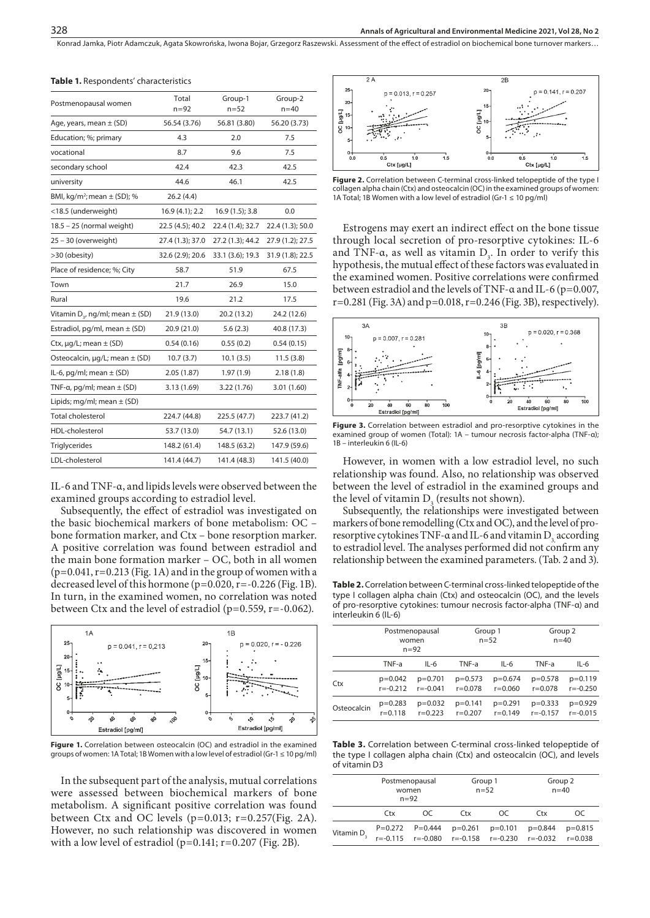Konrad Jamka, Piotr Adamczuk, Agata Skowrońska, Iwona Bojar, Grzegorz Raszewski, Assessment of the effect of estradiol on biochemical bone turnover markers...

| Postmenopausal women                     | Total<br>$n = 92$ | Group-1<br>$n=52$ | Group-2<br>$n = 40$ |  |
|------------------------------------------|-------------------|-------------------|---------------------|--|
| Age, years, mean $\pm$ (SD)              | 56.54 (3.76)      | 56.81 (3.80)      | 56.20 (3.73)        |  |
| Education; %; primary                    | 4.3               | 2.0               | 7.5                 |  |
| vocational                               | 8.7               | 9.6               | 7.5                 |  |
| secondary school                         | 42.4              | 42.3              | 42.5                |  |
| university                               | 44.6              | 46.1              | 42.5                |  |
| BMI, $kg/m^2$ ; mean $\pm$ (SD); %       | 26.2(4.4)         |                   |                     |  |
| <18.5 (underweight)                      | $16.9(4.1)$ ; 2.2 | 16.9(1.5); 3.8    | 0.0                 |  |
| 18.5 - 25 (normal weight)                | 22.5 (4.5); 40.2  | 22.4 (1.4); 32.7  | 22.4 (1.3); 50.0    |  |
| 25 - 30 (overweight)                     | 27.4 (1.3); 37.0  | 27.2 (1.3); 44.2  | 27.9 (1.2); 27.5    |  |
| >30 (obesity)                            | 32.6 (2.9); 20.6  | 33.1 (3.6); 19.3  | 31.9 (1.8); 22.5    |  |
| Place of residence; %; City              | 58.7              | 51.9              | 67.5                |  |
| Town                                     | 21.7              | 26.9              | 15.0                |  |
| Rural                                    | 19.6              | 21.2              | 17.5                |  |
| Vitamin $D_2$ , ng/ml; mean $\pm$ (SD)   | 21.9 (13.0)       | 20.2 (13.2)       | 24.2 (12.6)         |  |
| Estradiol, pg/ml, mean $\pm$ (SD)        | 20.9 (21.0)       | 5.6(2.3)          | 40.8 (17.3)         |  |
| Ctx, $\mu q/L$ ; mean $\pm$ (SD)         | 0.54(0.16)        | 0.55(0.2)         | 0.54(0.15)          |  |
| Osteocalcin, $\mu q/L$ ; mean $\pm$ (SD) | 10.7(3.7)         | 10.1(3.5)         | 11.5(3.8)           |  |
| IL-6, pg/ml; mean $\pm$ (SD)             | 2.05(1.87)        | 1.97(1.9)         | 2.18(1.8)           |  |
| TNF-a, pg/ml; mean $\pm$ (SD)            | 3.13 (1.69)       | 3.22 (1.76)       | 3.01(1.60)          |  |
| Lipids; mg/ml; mean $\pm$ (SD)           |                   |                   |                     |  |
| Total cholesterol                        | 224.7 (44.8)      | 225.5 (47.7)      | 223.7 (41.2)        |  |
| HDL-cholesterol                          | 53.7 (13.0)       | 54.7 (13.1)       | 52.6 (13.0)         |  |
| <b>Triglycerides</b>                     | 148.2 (61.4)      | 148.5 (63.2)      | 147.9 (59.6)        |  |
| LDL-cholesterol                          | 141.4 (44.7)      | 141.4 (48.3)      | 141.5 (40.0)        |  |
|                                          |                   |                   |                     |  |

#### **Table 1.** Respondents' characteristics

IL-6 and TNF-α, and lipids levels were observed between the examined groups according to estradiol level.

Subsequently, the effect of estradiol was investigated on the basic biochemical markers of bone metabolism: OC – bone formation marker, and Ctx – bone resorption marker. A positive correlation was found between estradiol and the main bone formation marker – OC, both in all women  $(p=0.041, r=0.213$  (Fig. 1A) and in the group of women with a decreased level of this hormone (p=0.020, r=-0.226 (Fig. 1B). In turn, in the examined women, no correlation was noted between Ctx and the level of estradiol ( $p=0.559$ ,  $r=-0.062$ ).





In the subsequent part of the analysis, mutual correlations were assessed between biochemical markers of bone metabolism. A significant positive correlation was found between Ctx and OC levels (p=0.013; r=0.257(Fig. 2A). However, no such relationship was discovered in women with a low level of estradiol  $(p=0.141; r=0.207$  (Fig. 2B).



**Figure 2.** Correlation between C-terminal cross-linked telopeptide of the type I collagen alpha chain (Ctx) and osteocalcin (OC) in the examined groups of women: 1A Total; 1B Women with a low level of estradiol (Gr-1  $\leq$  10 pg/ml)

Estrogens may exert an indirect effect on the bone tissue through local secretion of pro-resorptive cytokines: IL-6 and TNF- $\alpha$ , as well as vitamin  $D_3$ . In order to verify this hypothesis, the mutual effect of these factors was evaluated in the examined women. Positive correlations were confirmed between estradiol and the levels of TNF-α and IL-6 (p=0.007,  $r=0.281$  (Fig. 3A) and  $p=0.018$ ,  $r=0.246$  (Fig. 3B), respectively).



**Figure 3.** Correlation between estradiol and pro-resorptive cytokines in the examined group of women (Total): 1A – tumour necrosis factor-alpha (TNF-α); 1B – interleukin 6 (IL-6)

However, in women with a low estradiol level, no such relationship was found. Also, no relationship was observed between the level of estradiol in the examined groups and the level of vitamin  $D_3$  (results not shown).

Subsequently, the relationships were investigated between markers of bone remodelling (Ctx and OC), and the level of proresorptive cytokines TNF-α and IL-6 and vitamin D<sub>2</sub> according to estradiol level. The analyses performed did not confirm any relationship between the examined parameters. (Tab. 2 and 3).

**Table 2.** Correlation between C-terminal cross-linked telopeptide of the type I collagen alpha chain (Ctx) and osteocalcin (OC), and the levels of pro-resorptive cytokines: tumour necrosis factor-alpha (TNF-α) and interleukin 6 (IL-6)

|             | Postmenopausal<br>women<br>$n = 92$ |              | Group 1<br>$n = 52$ |             | Group 2<br>$n = 40$ |              |
|-------------|-------------------------------------|--------------|---------------------|-------------|---------------------|--------------|
|             | TNF-a                               | $IL-6$       | TNF-a               | $IL-6$      | TNF-a               | $IL-6$       |
| Ctx         | p=0.042                             | $p=0.701$    | $p=0.573$           | $p=0.674$   | $p=0.578$           | $p=0.119$    |
|             | $r = -0.212$                        | $r = -0.041$ | $r = 0.078$         | $r = 0.060$ | $r = 0.078$         | $r = -0.250$ |
| Osteocalcin | $p=0.283$                           | $p=0.032$    | $p = 0.141$         | $p=0.291$   | $p=0.333$           | $p=0.929$    |
|             | $r = 0.118$                         | $r = 0.223$  | $r = 0.207$         | $r = 0.149$ | $r = -0.157$        | $r = -0.015$ |

**Table 3.** Correlation between C-terminal cross-linked telopeptide of the type I collagen alpha chain (Ctx) and osteocalcin (OC), and levels of vitamin D3

|                        | Postmenopausal<br>women<br>$n = 92$ |                     | Group 1<br>$n = 52$                                 |           | Group 2<br>$n = 40$         |                          |
|------------------------|-------------------------------------|---------------------|-----------------------------------------------------|-----------|-----------------------------|--------------------------|
|                        | Ctx                                 | OC.                 | Ctx                                                 | OC.       | Ctx                         | OC                       |
| Vitamin D <sub>2</sub> | $r = -0.115$                        | $P=0.272$ $P=0.444$ | $p=0.261$<br>$r = -0.080$ $r = -0.158$ $r = -0.230$ | $p=0.101$ | $p = 0.844$<br>$r = -0.032$ | $p=0.815$<br>$r = 0.038$ |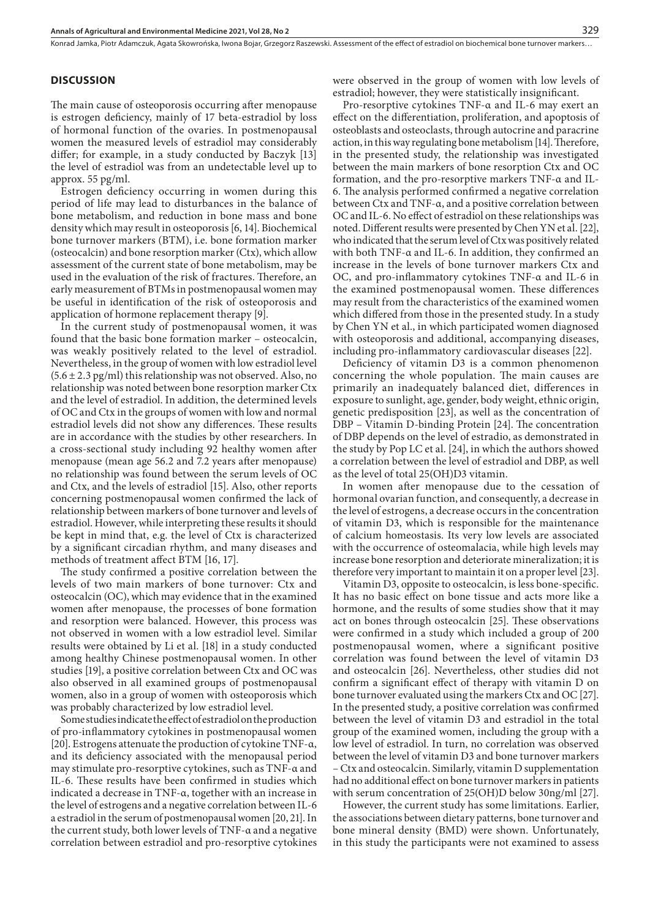#### **DISCUSSION**

The main cause of osteoporosis occurring after menopause is estrogen deficiency, mainly of 17 beta-estradiol by loss of hormonal function of the ovaries. In postmenopausal women the measured levels of estradiol may considerably differ; for example, in a study conducted by Baczyk [13] the level of estradiol was from an undetectable level up to approx. 55 pg/ml.

Estrogen deficiency occurring in women during this period of life may lead to disturbances in the balance of bone metabolism, and reduction in bone mass and bone density which may result in osteoporosis [6, 14]. Biochemical bone turnover markers (BTM), i.e. bone formation marker (osteocalcin) and bone resorption marker (Ctx), which allow assessment of the current state of bone metabolism, may be used in the evaluation of the risk of fractures. Therefore, an early measurement of BTMs in postmenopausal women may be useful in identification of the risk of osteoporosis and application of hormone replacement therapy [\[9\]](https://www.ncbi.nlm.nih.gov/pubmed/?term=Park SG%5BAuthor%5D&cauthor=true&cauthor_uid=29961742).

In the current study of postmenopausal women, it was found that the basic bone formation marker – osteocalcin, was weakly positively related to the level of estradiol. Nevertheless, in the group of women with low estradiol level  $(5.6 \pm 2.3 \text{ pg/ml})$  this relationship was not observed. Also, no relationship was noted between bone resorption marker Ctx and the level of estradiol. In addition, the determined levels of OC and Ctx in the groups of women with low and normal estradiol levels did not show any differences. These results are in accordance with the studies by other researchers. In a cross-sectional study including 92 healthy women after menopause (mean age 56.2 and 7.2 years after menopause) no relationship was found between the serum levels of OC and Ctx, and the levels of estradiol [15]. Also, other reports concerning postmenopausal women confirmed the lack of relationship between markers of bone turnover and levels of estradiol. However, while interpreting these results it should be kept in mind that, e.g. the level of Ctx is characterized by a significant circadian rhythm, and many diseases and methods of treatment affect BTM [16, 17].

The study confirmed a positive correlation between the levels of two main markers of bone turnover: Ctx and osteocalcin (OC), which may evidence that in the examined women after menopause, the processes of bone formation and resorption were balanced. However, this process was not observed in women with a low estradiol level. Similar results were obtained by Li et al. [18] in a study conducted among healthy Chinese postmenopausal women. In other studies [19], a positive correlation between Ctx and OC was also observed in all examined groups of postmenopausal women, also in a group of women with osteoporosis which was probably characterized by low estradiol level.

Some studies indicate the effect of estradiol on the production of pro-inflammatory cytokines in postmenopausal women [20]. Estrogens attenuate the production of cytokine TNF-α, and its deficiency associated with the menopausal period may stimulate pro-resorptive cytokines, such as TNF-α and IL-6. These results have been confirmed in studies which indicated a decrease in TNF-α, together with an increase in the level of estrogens and a negative correlation between IL-6 a estradiol in the serum of postmenopausal women [20, 21]. In the current study, both lower levels of TNF-α and a negative correlation between estradiol and pro-resorptive cytokines

were observed in the group of women with low levels of estradiol; however, they were statistically insignificant.

Pro-resorptive cytokines TNF-α and IL-6 may exert an effect on the differentiation, proliferation, and apoptosis of osteoblasts and osteoclasts, through autocrine and paracrine action, in this way regulating bone metabolism [14]. Therefore, in the presented study, the relationship was investigated between the main markers of bone resorption Ctx and OC formation, and the pro-resorptive markers TNF-α and IL-6. The analysis performed confirmed a negative correlation between Ctx and TNF-α, and a positive correlation between OC and IL-6. No effect of estradiol on these relationships was noted. Different results were presented by [Chen YN](https://www.ncbi.nlm.nih.gov/pubmed/?term=Chen YN%5BAuthor%5D&cauthor=true&cauthor_uid=31823500) et al. [\[22](https://www.ncbi.nlm.nih.gov/pubmed/?term=Chen YN%5BAuthor%5D&cauthor=true&cauthor_uid=31823500)], who indicated that the serum level of Ctx was positively related with both TNF-α and IL-6. In addition, they confirmed an increase in the levels of bone turnover markers Ctx and OC, and pro-inflammatory cytokines TNF-α and IL-6 in the examined postmenopausal women. These differences may result from the characteristics of the examined women which differed from those in the presented study. In a study by Chen YN et al., in which participated women diagnosed with osteoporosis and additional, accompanying diseases, including pro-inflammatory cardiovascular diseases [22].

Deficiency of vitamin D3 is a common phenomenon concerning the whole population. The main causes are primarily an inadequately balanced diet, differences in exposure to sunlight, age, gender, body weight, ethnic origin, genetic predisposition [23], as well as the concentration of DBP – Vitamin D-binding Protein [24]. The concentration of DBP depends on the level of estradio, as demonstrated in the study by Pop LC et al. [24], in which the authors showed a correlation between the level of estradiol and DBP, as well as the level of total 25(OH)D3 vitamin.

In women after menopause due to the cessation of hormonal ovarian function, and consequently, a decrease in the level of estrogens, a decrease occurs in the concentration of vitamin D3, which is responsible for the maintenance of calcium homeostasis. Its very low levels are associated with the occurrence of osteomalacia, while high levels may increase bone resorption and deteriorate mineralization; it is therefore very important to maintain it on a proper level [23].

Vitamin D3, opposite to osteocalcin, is less bone-specific. It has no basic effect on bone tissue and acts more like a hormone, and the results of some studies show that it may act on bones through osteocalcin [25]. These observations were confirmed in a study which included a group of 200 postmenopausal women, where a significant positive correlation was found between the level of vitamin D3 and osteocalcin [26]. Nevertheless, other studies did not confirm a significant effect of therapy with vitamin D on bone turnover evaluated using the markers Ctx and OC [27]. In the presented study, a positive correlation was confirmed between the level of vitamin D3 and estradiol in the total group of the examined women, including the group with a low level of estradiol. In turn, no correlation was observed between the level of vitamin D3 and bone turnover markers – Ctx and osteocalcin. Similarly, vitamin D supplementation had no additional effect on bone turnover markers in patients with serum concentration of 25(OH)D below 30ng/ml [27].

However, the current study has some limitations. Earlier, the associations between dietary patterns, bone turnover and bone mineral density (BMD) were shown. Unfortunately, in this study the participants were not examined to assess